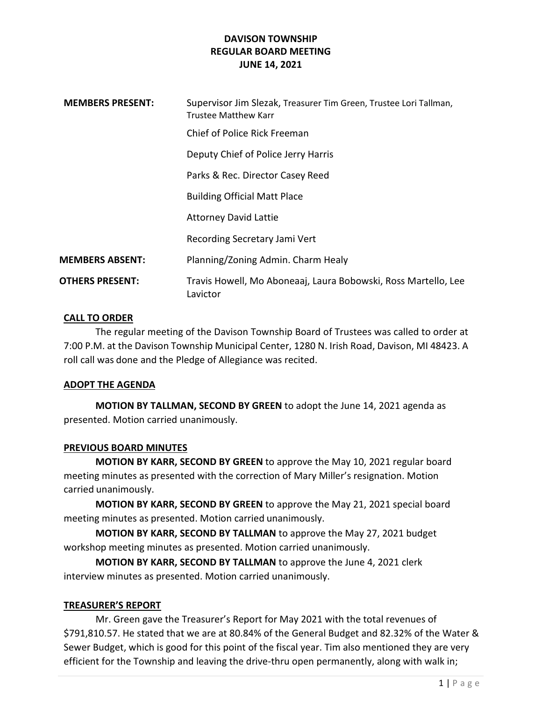| <b>MEMBERS PRESENT:</b> | Supervisor Jim Slezak, Treasurer Tim Green, Trustee Lori Tallman,<br>Trustee Matthew Karr |
|-------------------------|-------------------------------------------------------------------------------------------|
|                         | Chief of Police Rick Freeman                                                              |
|                         | Deputy Chief of Police Jerry Harris                                                       |
|                         | Parks & Rec. Director Casey Reed                                                          |
|                         | <b>Building Official Matt Place</b>                                                       |
|                         | <b>Attorney David Lattie</b>                                                              |
|                         | Recording Secretary Jami Vert                                                             |
| <b>MEMBERS ABSENT:</b>  | Planning/Zoning Admin. Charm Healy                                                        |
| <b>OTHERS PRESENT:</b>  | Travis Howell, Mo Aboneaaj, Laura Bobowski, Ross Martello, Lee<br>Lavictor                |

## CALL TO ORDER

The regular meeting of the Davison Township Board of Trustees was called to order at 7:00 P.M. at the Davison Township Municipal Center, 1280 N. Irish Road, Davison, MI 48423. A roll call was done and the Pledge of Allegiance was recited.

### ADOPT THE AGENDA

MOTION BY TALLMAN, SECOND BY GREEN to adopt the June 14, 2021 agenda as presented. Motion carried unanimously.

## PREVIOUS BOARD MINUTES

MOTION BY KARR, SECOND BY GREEN to approve the May 10, 2021 regular board meeting minutes as presented with the correction of Mary Miller's resignation. Motion carried unanimously.

MOTION BY KARR, SECOND BY GREEN to approve the May 21, 2021 special board meeting minutes as presented. Motion carried unanimously.

MOTION BY KARR, SECOND BY TALLMAN to approve the May 27, 2021 budget workshop meeting minutes as presented. Motion carried unanimously.

MOTION BY KARR, SECOND BY TALLMAN to approve the June 4, 2021 clerk interview minutes as presented. Motion carried unanimously.

### TREASURER'S REPORT

Mr. Green gave the Treasurer's Report for May 2021 with the total revenues of \$791,810.57. He stated that we are at 80.84% of the General Budget and 82.32% of the Water & Sewer Budget, which is good for this point of the fiscal year. Tim also mentioned they are very efficient for the Township and leaving the drive-thru open permanently, along with walk in;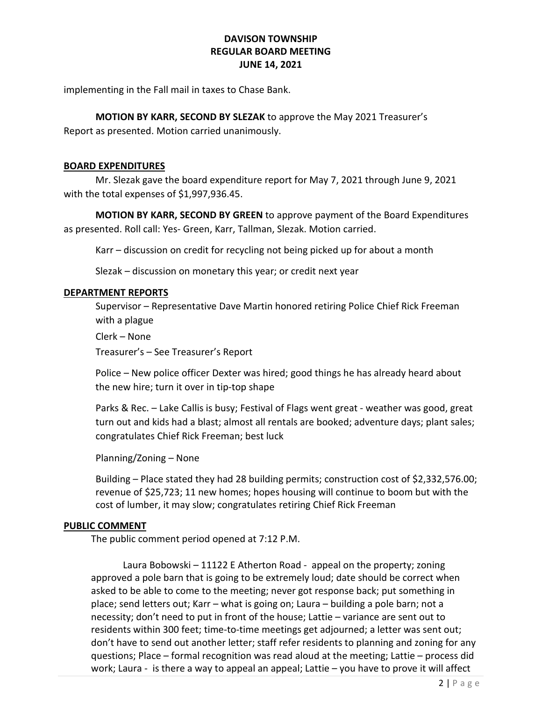implementing in the Fall mail in taxes to Chase Bank.

## MOTION BY KARR, SECOND BY SLEZAK to approve the May 2021 Treasurer's

Report as presented. Motion carried unanimously.

## BOARD EXPENDITURES

Mr. Slezak gave the board expenditure report for May 7, 2021 through June 9, 2021 with the total expenses of \$1,997,936.45.

MOTION BY KARR, SECOND BY GREEN to approve payment of the Board Expenditures as presented. Roll call: Yes- Green, Karr, Tallman, Slezak. Motion carried.

Karr – discussion on credit for recycling not being picked up for about a month

Slezak – discussion on monetary this year; or credit next year

### DEPARTMENT REPORTS

Supervisor – Representative Dave Martin honored retiring Police Chief Rick Freeman with a plague

Clerk – None

Treasurer's – See Treasurer's Report

Police – New police officer Dexter was hired; good things he has already heard about the new hire; turn it over in tip-top shape

Parks & Rec. – Lake Callis is busy; Festival of Flags went great - weather was good, great turn out and kids had a blast; almost all rentals are booked; adventure days; plant sales; congratulates Chief Rick Freeman; best luck

Planning/Zoning – None

Building – Place stated they had 28 building permits; construction cost of \$2,332,576.00; revenue of \$25,723; 11 new homes; hopes housing will continue to boom but with the cost of lumber, it may slow; congratulates retiring Chief Rick Freeman

### PUBLIC COMMENT

The public comment period opened at 7:12 P.M.

 Laura Bobowski – 11122 E Atherton Road - appeal on the property; zoning approved a pole barn that is going to be extremely loud; date should be correct when asked to be able to come to the meeting; never got response back; put something in place; send letters out; Karr – what is going on; Laura – building a pole barn; not a necessity; don't need to put in front of the house; Lattie – variance are sent out to residents within 300 feet; time-to-time meetings get adjourned; a letter was sent out; don't have to send out another letter; staff refer residents to planning and zoning for any questions; Place – formal recognition was read aloud at the meeting; Lattie – process did work; Laura - is there a way to appeal an appeal; Lattie – you have to prove it will affect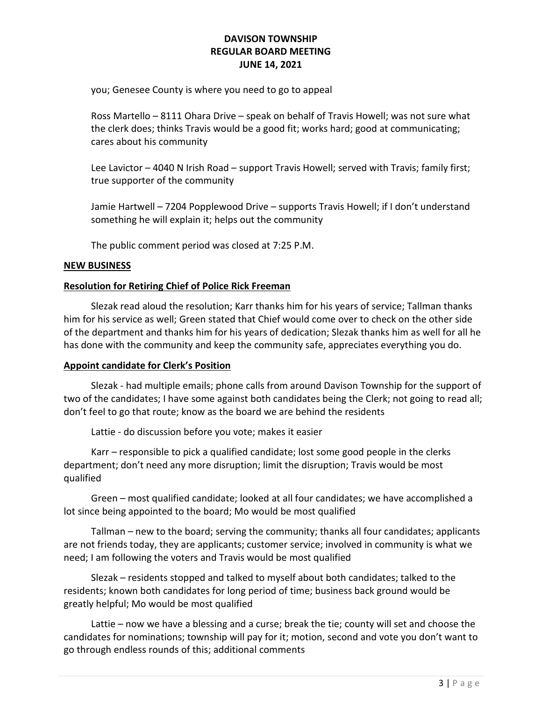you; Genesee County is where you need to go to appeal

Ross Martello – 8111 Ohara Drive – speak on behalf of Travis Howell; was not sure what the clerk does; thinks Travis would be a good fit; works hard; good at communicating; cares about his community

Lee Lavictor – 4040 N Irish Road – support Travis Howell; served with Travis; family first; true supporter of the community

Jamie Hartwell – 7204 Popplewood Drive – supports Travis Howell; if I don't understand something he will explain it; helps out the community

The public comment period was closed at 7:25 P.M.

## NEW BUSINESS

## Resolution for Retiring Chief of Police Rick Freeman

Slezak read aloud the resolution; Karr thanks him for his years of service; Tallman thanks him for his service as well; Green stated that Chief would come over to check on the other side of the department and thanks him for his years of dedication; Slezak thanks him as well for all he has done with the community and keep the community safe, appreciates everything you do.

### Appoint candidate for Clerk's Position

 Slezak - had multiple emails; phone calls from around Davison Township for the support of two of the candidates; I have some against both candidates being the Clerk; not going to read all; don't feel to go that route; know as the board we are behind the residents

Lattie - do discussion before you vote; makes it easier

 Karr – responsible to pick a qualified candidate; lost some good people in the clerks department; don't need any more disruption; limit the disruption; Travis would be most qualified

 Green – most qualified candidate; looked at all four candidates; we have accomplished a lot since being appointed to the board; Mo would be most qualified

 Tallman – new to the board; serving the community; thanks all four candidates; applicants are not friends today, they are applicants; customer service; involved in community is what we need; I am following the voters and Travis would be most qualified

 Slezak – residents stopped and talked to myself about both candidates; talked to the residents; known both candidates for long period of time; business back ground would be greatly helpful; Mo would be most qualified

 Lattie – now we have a blessing and a curse; break the tie; county will set and choose the candidates for nominations; township will pay for it; motion, second and vote you don't want to go through endless rounds of this; additional comments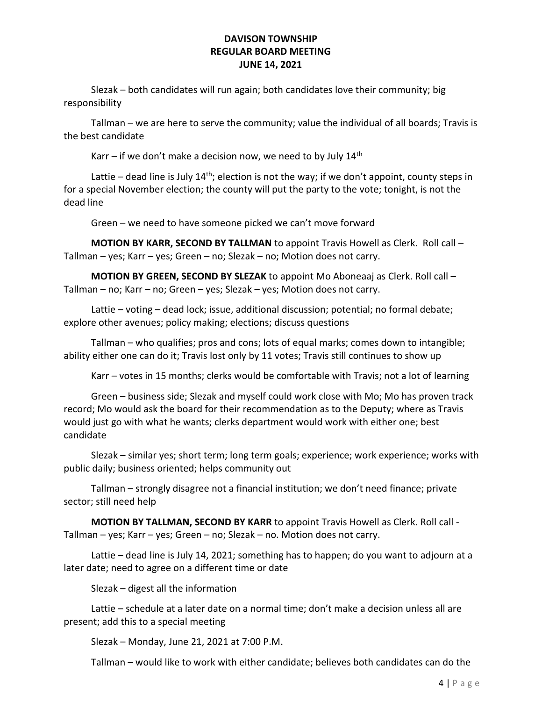Slezak – both candidates will run again; both candidates love their community; big responsibility

 Tallman – we are here to serve the community; value the individual of all boards; Travis is the best candidate

Karr – if we don't make a decision now, we need to by July  $14<sup>th</sup>$ 

Lattie – dead line is July  $14<sup>th</sup>$ ; election is not the way; if we don't appoint, county steps in for a special November election; the county will put the party to the vote; tonight, is not the dead line

Green – we need to have someone picked we can't move forward

MOTION BY KARR, SECOND BY TALLMAN to appoint Travis Howell as Clerk. Roll call -Tallman – yes; Karr – yes; Green – no; Slezak – no; Motion does not carry.

 MOTION BY GREEN, SECOND BY SLEZAK to appoint Mo Aboneaaj as Clerk. Roll call – Tallman – no; Karr – no; Green – yes; Slezak – yes; Motion does not carry.

Lattie – voting – dead lock; issue, additional discussion; potential; no formal debate; explore other avenues; policy making; elections; discuss questions

 Tallman – who qualifies; pros and cons; lots of equal marks; comes down to intangible; ability either one can do it; Travis lost only by 11 votes; Travis still continues to show up

Karr – votes in 15 months; clerks would be comfortable with Travis; not a lot of learning

 Green – business side; Slezak and myself could work close with Mo; Mo has proven track record; Mo would ask the board for their recommendation as to the Deputy; where as Travis would just go with what he wants; clerks department would work with either one; best candidate

 Slezak – similar yes; short term; long term goals; experience; work experience; works with public daily; business oriented; helps community out

 Tallman – strongly disagree not a financial institution; we don't need finance; private sector; still need help

MOTION BY TALLMAN, SECOND BY KARR to appoint Travis Howell as Clerk. Roll call - Tallman – yes; Karr – yes; Green – no; Slezak – no. Motion does not carry.

Lattie – dead line is July 14, 2021; something has to happen; do you want to adjourn at a later date; need to agree on a different time or date

Slezak – digest all the information

 Lattie – schedule at a later date on a normal time; don't make a decision unless all are present; add this to a special meeting

Slezak – Monday, June 21, 2021 at 7:00 P.M.

Tallman – would like to work with either candidate; believes both candidates can do the